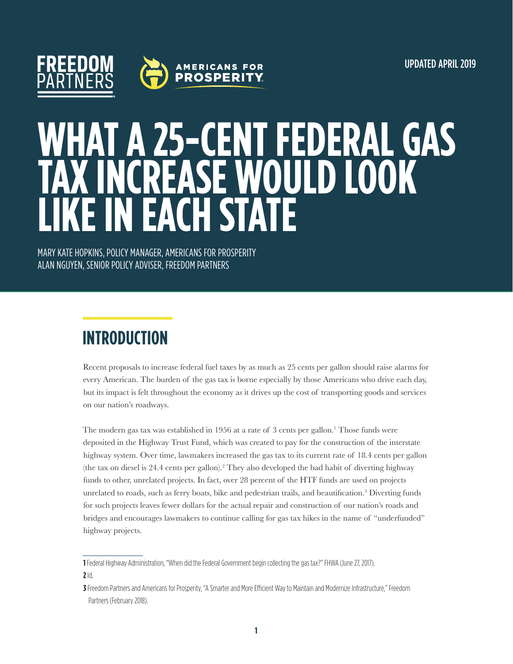

# **WHAT A 25-CENT FEDERAL GAS TAX INCREASE WOULD LOOK LEACH STATE**

MARY KATE HOPKINS, POLICY MANAGER, AMERICANS FOR PROSPERITY ALAN NGUYEN, SENIOR POLICY ADVISER, FREEDOM PARTNERS

## **INTRODUCTION**

Recent proposals to increase federal fuel taxes by as much as 25 cents per gallon should raise alarms for every American. The burden of the gas tax is borne especially by those Americans who drive each day, but its impact is felt throughout the economy as it drives up the cost of transporting goods and services on our nation's roadways.

The modern gas tax was established in 1956 at a rate of 3 cents per gallon.<sup>1</sup> Those funds were deposited in the Highway Trust Fund, which was created to pay for the construction of the interstate highway system. Over time, lawmakers increased the gas tax to its current rate of 18.4 cents per gallon (the tax on diesel is 24.4 cents per gallon).2 They also developed the bad habit of diverting highway funds to other, unrelated projects. In fact, over 28 percent of the HTF funds are used on projects unrelated to roads, such as ferry boats, bike and pedestrian trails, and beautification.<sup>3</sup> Diverting funds for such projects leaves fewer dollars for the actual repair and construction of our nation's roads and bridges and encourages lawmakers to continue calling for gas tax hikes in the name of "underfunded" highway projects.

**1** Federal Highway Administration, "When did the Federal Government begin collecting the gas tax?" FHWA (June 27, 2017). **2** Id.

**<sup>3</sup>** Freedom Partners and Americans for Prosperity, "A Smarter and More Efficient Way to Maintain and Modernize Infrastructure," Freedom Partners (February 2018).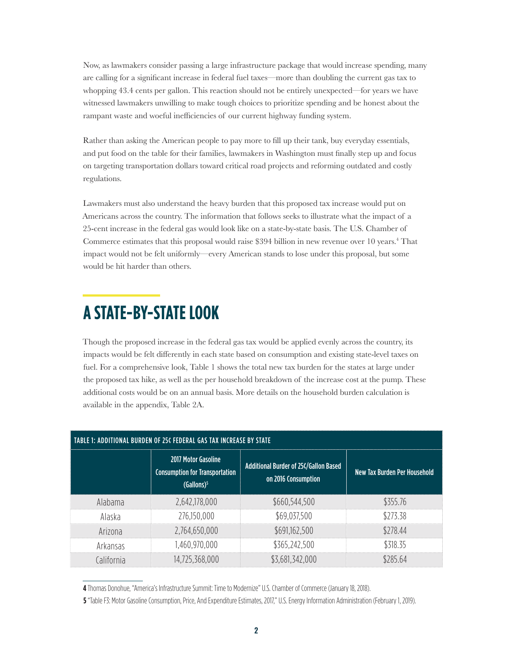Now, as lawmakers consider passing a large infrastructure package that would increase spending, many are calling for a significant increase in federal fuel taxes—more than doubling the current gas tax to whopping 43.4 cents per gallon. This reaction should not be entirely unexpected—for years we have witnessed lawmakers unwilling to make tough choices to prioritize spending and be honest about the rampant waste and woeful inefficiencies of our current highway funding system.

Rather than asking the American people to pay more to fill up their tank, buy everyday essentials, and put food on the table for their families, lawmakers in Washington must finally step up and focus on targeting transportation dollars toward critical road projects and reforming outdated and costly regulations.

Lawmakers must also understand the heavy burden that this proposed tax increase would put on Americans across the country. The information that follows seeks to illustrate what the impact of a 25-cent increase in the federal gas would look like on a state-by-state basis. The U.S. Chamber of Commerce estimates that this proposal would raise \$394 billion in new revenue over 10 years.<sup>4</sup> That impact would not be felt uniformly—every American stands to lose under this proposal, but some would be hit harder than others.

#### **A STATE-BY-STATE LOOK**

Though the proposed increase in the federal gas tax would be applied evenly across the country, its impacts would be felt differently in each state based on consumption and existing state-level taxes on fuel. For a comprehensive look, Table 1 shows the total new tax burden for the states at large under the proposed tax hike, as well as the per household breakdown of the increase cost at the pump. These additional costs would be on an annual basis. More details on the household burden calculation is available in the appendix, Table 2A.

| <b>TABLE 1: ADDITIONAL BURDEN OF 25¢ FEDERAL GAS TAX INCREASE BY STATE</b> |                                                                                               |                                                              |                              |  |
|----------------------------------------------------------------------------|-----------------------------------------------------------------------------------------------|--------------------------------------------------------------|------------------------------|--|
|                                                                            | <b>2017 Motor Gasoline</b><br><b>Consumption for Transportation</b><br>(Gallons) <sup>5</sup> | Additional Burder of 25¢/Gallon Based<br>on 2016 Consumption | New Tax Burden Per Household |  |
| Alabama                                                                    | 2,642,178,000                                                                                 | \$660,544,500                                                | \$355.76                     |  |
| Alaska                                                                     | 276,150,000                                                                                   | \$69,037,500                                                 | \$273.38                     |  |
| Arizona                                                                    | 2,764,650,000                                                                                 | \$691,162,500                                                | \$278.44                     |  |
| Arkansas                                                                   | ,460,970,000                                                                                  | \$365,242,500                                                | \$318.35                     |  |
| California                                                                 | 14,725,368,000                                                                                | \$3,681,342,000                                              | \$285.64                     |  |

**4** Thomas Donohue, "America's Infrastructure Summit: Time to Modernize" U.S. Chamber of Commerce (January 18, 2018).

**5** "Table F3: Motor Gasoline Consumption, Price, And Expenditure Estimates, 2017," U.S. Energy Information Administration (February 1, 2019).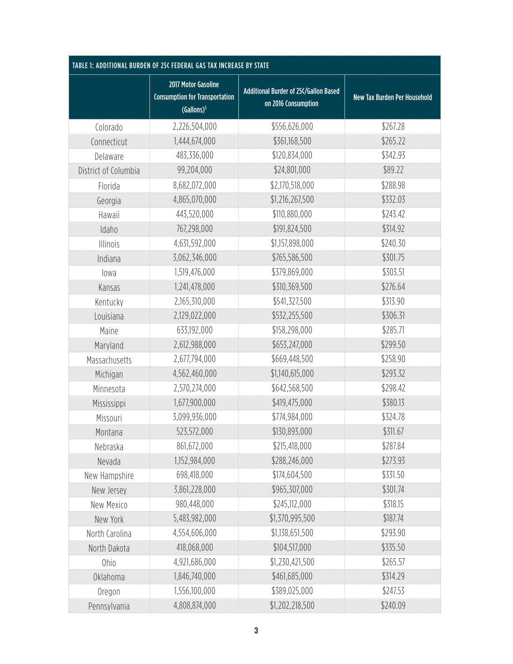| TABLE 1: ADDITIONAL BURDEN OF 25¢ FEDERAL GAS TAX INCREASE BY STATE |                                                                                        |                                                              |                                     |
|---------------------------------------------------------------------|----------------------------------------------------------------------------------------|--------------------------------------------------------------|-------------------------------------|
|                                                                     | 2017 Motor Gasoline<br><b>Consumption for Transportation</b><br>(Gallons) <sup>5</sup> | Additional Burder of 25¢/Gallon Based<br>on 2016 Consumption | <b>New Tax Burden Per Household</b> |
| Colorado                                                            | 2,226,504,000                                                                          | \$556,626,000                                                | \$267.28                            |
| Connecticut                                                         | 1,444,674,000                                                                          | \$361,168,500                                                | \$265.22                            |
| Delaware                                                            | 483,336,000                                                                            | \$120,834,000                                                | \$342.93                            |
| District of Columbia                                                | 99,204,000                                                                             | \$24,801,000                                                 | \$89.22                             |
| Florida                                                             | 8,682,072,000                                                                          | \$2,170,518,000                                              | \$288.98                            |
| Georgia                                                             | 4,865,070,000                                                                          | \$1,216,267,500                                              | \$332.03                            |
| Hawaii                                                              | 443,520,000                                                                            | \$110,880,000                                                | \$243.42                            |
| Idaho                                                               | 767,298,000                                                                            | \$191,824,500                                                | \$314.92                            |
| Illinois                                                            | 4,631,592,000                                                                          | \$1,157,898,000                                              | \$240.30                            |
| Indiana                                                             | 3,062,346,000                                                                          | \$765,586,500                                                | \$301.75                            |
| lowa                                                                | 1,519,476,000                                                                          | \$379,869,000                                                | \$303.51                            |
| Kansas                                                              | 1,241,478,000                                                                          | \$310,369,500                                                | \$276.64                            |
| Kentucky                                                            | 2,165,310,000                                                                          | \$541,327,500                                                | \$313.90                            |
| Louisiana                                                           | 2,129,022,000                                                                          | \$532,255,500                                                | \$306.31                            |
| Maine                                                               | 633,192,000                                                                            | \$158,298,000                                                | \$285.71                            |
| Maryland                                                            | 2,612,988,000                                                                          | \$653,247,000                                                | \$299.50                            |
| Massachusetts                                                       | 2,677,794,000                                                                          | \$669,448,500                                                | \$258.90                            |
| Michigan                                                            | 4,562,460,000                                                                          | \$1,140,615,000                                              | \$293.32                            |
| Minnesota                                                           | 2,570,274,000                                                                          | \$642,568,500                                                | \$298.42                            |
| Mississippi                                                         | 1,677,900,000                                                                          | \$419,475,000                                                | \$380.13                            |
| Missouri                                                            | 3,099,936,000                                                                          | \$774,984,000                                                | \$324.78                            |
| Montana                                                             | 523,572,000                                                                            | \$130,893,000                                                | \$311.67                            |
| Nebraska                                                            | 861,672,000                                                                            | \$215,418,000                                                | \$287.84                            |
| Nevada                                                              | 1,152,984,000                                                                          | \$288,246,000                                                | \$273.93                            |
| New Hampshire                                                       | 698,418,000                                                                            | \$174,604,500                                                | \$331.50                            |
| New Jersey                                                          | 3,861,228,000                                                                          | \$965,307,000                                                | \$301.74                            |
| New Mexico                                                          | 980,448,000                                                                            | \$245,112,000                                                | \$318.15                            |
| New York                                                            | 5,483,982,000                                                                          | \$1,370,995,500                                              | \$187.74                            |
| North Carolina                                                      | 4,554,606,000                                                                          | \$1,138,651,500                                              | \$293.90                            |
| North Dakota                                                        | 418,068,000                                                                            | \$104,517,000                                                | \$335.50                            |
| Ohio                                                                | 4,921,686,000                                                                          | \$1,230,421,500                                              | \$265.57                            |
| <b>Oklahoma</b>                                                     | 1,846,740,000                                                                          | \$461,685,000                                                | \$314.29                            |
| Oregon                                                              | 1,556,100,000                                                                          | \$389,025,000                                                | \$247.53                            |
| Pennsylvania                                                        | 4,808,874,000                                                                          | \$1,202,218,500                                              | \$240.09                            |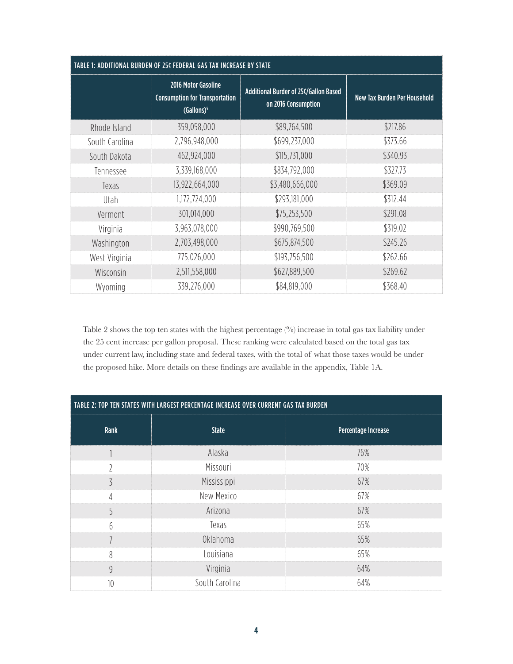| TABLE 1: ADDITIONAL BURDEN OF 25¢ FEDERAL GAS TAX INCREASE BY STATE |                                                                                        |                                                              |                              |
|---------------------------------------------------------------------|----------------------------------------------------------------------------------------|--------------------------------------------------------------|------------------------------|
|                                                                     | 2016 Motor Gasoline<br><b>Consumption for Transportation</b><br>(Gallons) <sup>5</sup> | Additional Burder of 25¢/Gallon Based<br>on 2016 Consumption | New Tax Burden Per Household |
| Rhode Island                                                        | 359,058,000                                                                            | \$89,764,500                                                 | \$217.86                     |
| South Carolina                                                      | 2,796,948,000                                                                          | \$699,237,000                                                | \$373.66                     |
| South Dakota                                                        | 462,924,000                                                                            | \$115,731,000                                                | \$340.93                     |
| Tennessee                                                           | 3,339,168,000                                                                          | \$834,792,000                                                | \$327.73                     |
| Texas                                                               | 13,922,664,000                                                                         | \$3,480,666,000                                              | \$369.09                     |
| Utah                                                                | 1,172,724,000                                                                          | \$293,181,000                                                | \$312.44                     |
| Vermont                                                             | 301,014,000                                                                            | \$75,253,500                                                 | \$291.08                     |
| Virginia                                                            | 3,963,078,000                                                                          | \$990,769,500                                                | \$319.02                     |
| Washington                                                          | 2,703,498,000                                                                          | \$675,874,500                                                | \$245.26                     |
| West Virginia                                                       | 775,026,000                                                                            | \$193,756,500                                                | \$262.66                     |
| Wisconsin                                                           | 2,511,558,000                                                                          | \$627,889,500                                                | \$269.62                     |
| Wyoming                                                             | 339,276,000                                                                            | \$84,819,000                                                 | \$368.40                     |

Table 2 shows the top ten states with the highest percentage (%) increase in total gas tax liability under the 25 cent increase per gallon proposal. These ranking were calculated based on the total gas tax under current law, including state and federal taxes, with the total of what those taxes would be under the proposed hike. More details on these findings are available in the appendix, Table 1A.

| TABLE 2: TOP TEN STATES WITH LARGEST PERCENTAGE INCREASE OVER CURRENT GAS TAX BURDEN |                |                     |  |
|--------------------------------------------------------------------------------------|----------------|---------------------|--|
| Rank                                                                                 | <b>State</b>   | Percentage Increase |  |
|                                                                                      | Alaska         | 76%                 |  |
| $\overline{2}$                                                                       | Missouri       | 70%                 |  |
| 3                                                                                    | Mississippi    | 67%                 |  |
| 4                                                                                    | New Mexico     | 67%                 |  |
| 5                                                                                    | Arizona        | 67%                 |  |
| 6                                                                                    | Texas          | 65%                 |  |
| ┑                                                                                    | Oklahoma       | 65%                 |  |
| 8                                                                                    | Louisiana      | 65%                 |  |
| $\overline{9}$                                                                       | Virginia       | 64%                 |  |
| 10                                                                                   | South Carolina | 64%                 |  |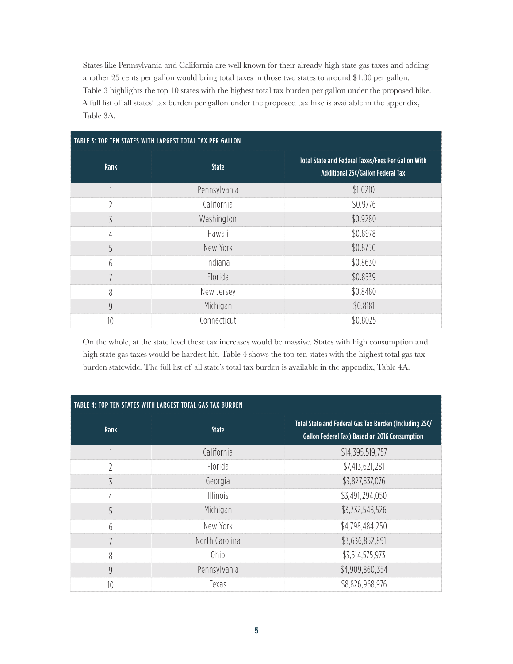States like Pennsylvania and California are well known for their already-high state gas taxes and adding another 25 cents per gallon would bring total taxes in those two states to around \$1.00 per gallon. Table 3 highlights the top 10 states with the highest total tax burden per gallon under the proposed hike. A full list of all states' tax burden per gallon under the proposed tax hike is available in the appendix, Table 3A.

| TABLE 3: TOP TEN STATES WITH LARGEST TOTAL TAX PER GALLON |              |                                                                                                |  |
|-----------------------------------------------------------|--------------|------------------------------------------------------------------------------------------------|--|
| Rank                                                      | <b>State</b> | Total State and Federal Taxes/Fees Per Gallon With<br><b>Additional 25¢/Gallon Federal Tax</b> |  |
|                                                           | Pennsylvania | \$1.0210                                                                                       |  |
| $\overline{2}$                                            | California   | \$0.9776                                                                                       |  |
| 3                                                         | Washington   | \$0.9280                                                                                       |  |
| 4                                                         | Hawaii       | \$0.8978                                                                                       |  |
| 5                                                         | New York     | \$0.8750                                                                                       |  |
| 6                                                         | Indiana      | \$0.8630                                                                                       |  |
|                                                           | Florida      | \$0.8539                                                                                       |  |
| 8                                                         | New Jersey   | \$0.8480                                                                                       |  |
| $\overline{9}$                                            | Michigan     | \$0.8181                                                                                       |  |
| 10                                                        | Connecticut  | \$0.8025                                                                                       |  |

On the whole, at the state level these tax increases would be massive. States with high consumption and high state gas taxes would be hardest hit. Table 4 shows the top ten states with the highest total gas tax burden statewide. The full list of all state's total tax burden is available in the appendix, Table 4A.

| TABLE 4: TOP TEN STATES WITH LARGEST TOTAL GAS TAX BURDEN |                 |                                                                                                         |  |
|-----------------------------------------------------------|-----------------|---------------------------------------------------------------------------------------------------------|--|
| Rank                                                      | <b>State</b>    | Total State and Federal Gas Tax Burden (Including 25¢/<br>Gallon Federal Tax) Based on 2016 Consumption |  |
|                                                           | California      | \$14,395,519,757                                                                                        |  |
| C                                                         | Florida         | \$7,413,621,281                                                                                         |  |
| 3                                                         | Georgia         | \$3,827,837,076                                                                                         |  |
| $\overline{4}$                                            | <b>Illinois</b> | \$3,491,294,050                                                                                         |  |
| 5                                                         | Michigan        | \$3,732,548,526                                                                                         |  |
| 6                                                         | New York        | \$4,798,484,250                                                                                         |  |
|                                                           | North Carolina  | \$3,636,852,891                                                                                         |  |
| 8                                                         | 0hio            | \$3,514,575,973                                                                                         |  |
| 9                                                         | Pennsylvania    | \$4,909,860,354                                                                                         |  |
| 10                                                        | Texas           | \$8,826,968,976                                                                                         |  |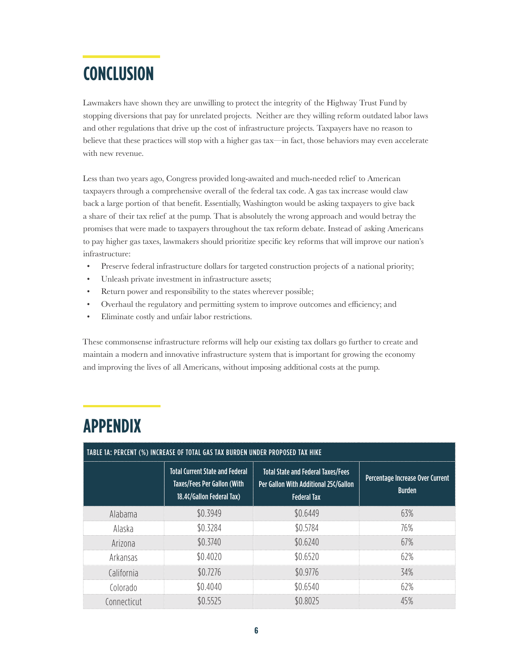## **CONCLUSION**

Lawmakers have shown they are unwilling to protect the integrity of the Highway Trust Fund by stopping diversions that pay for unrelated projects. Neither are they willing reform outdated labor laws and other regulations that drive up the cost of infrastructure projects. Taxpayers have no reason to believe that these practices will stop with a higher gas tax—in fact, those behaviors may even accelerate with new revenue.

Less than two years ago, Congress provided long-awaited and much-needed relief to American taxpayers through a comprehensive overall of the federal tax code. A gas tax increase would claw back a large portion of that benefit. Essentially, Washington would be asking taxpayers to give back a share of their tax relief at the pump. That is absolutely the wrong approach and would betray the promises that were made to taxpayers throughout the tax reform debate. Instead of asking Americans to pay higher gas taxes, lawmakers should prioritize specific key reforms that will improve our nation's infrastructure:

- Preserve federal infrastructure dollars for targeted construction projects of a national priority;
- Unleash private investment in infrastructure assets;
- Return power and responsibility to the states wherever possible;
- Overhaul the regulatory and permitting system to improve outcomes and efficiency; and
- Eliminate costly and unfair labor restrictions.

These commonsense infrastructure reforms will help our existing tax dollars go further to create and maintain a modern and innovative infrastructure system that is important for growing the economy and improving the lives of all Americans, without imposing additional costs at the pump.

|             | TABLE 1A: PERCENT (%) INCREASE OF TOTAL GAS TAX BURDEN UNDER PROPOSED TAX HIKE                            |                                                                                                          |                                                   |  |
|-------------|-----------------------------------------------------------------------------------------------------------|----------------------------------------------------------------------------------------------------------|---------------------------------------------------|--|
|             | <b>Total Current State and Federal</b><br><b>Taxes/Fees Per Gallon (With</b><br>18.4¢/Gallon Federal Tax) | <b>Total State and Federal Taxes/Fees</b><br>Per Gallon With Additional 25¢/Gallon<br><b>Federal Tax</b> | Percentage Increase Over Current<br><b>Burden</b> |  |
| Alabama     | \$0.3949                                                                                                  | \$0.6449                                                                                                 | 63%                                               |  |
| Alaska      | \$0.3284                                                                                                  | \$0.5784                                                                                                 | 76%                                               |  |
| Arizona     | \$0.3740                                                                                                  | \$0.6240                                                                                                 | 67%                                               |  |
| Arkansas    | \$0.4020                                                                                                  | \$0.6520                                                                                                 | 62%                                               |  |
| California  | \$0.7276                                                                                                  | \$0.9776                                                                                                 | 34%                                               |  |
| Colorado    | \$0.4040                                                                                                  | \$0.6540                                                                                                 | 62%                                               |  |
| Connecticut | \$0.5525                                                                                                  | \$0.8025                                                                                                 | 45%                                               |  |

### **APPENDIX**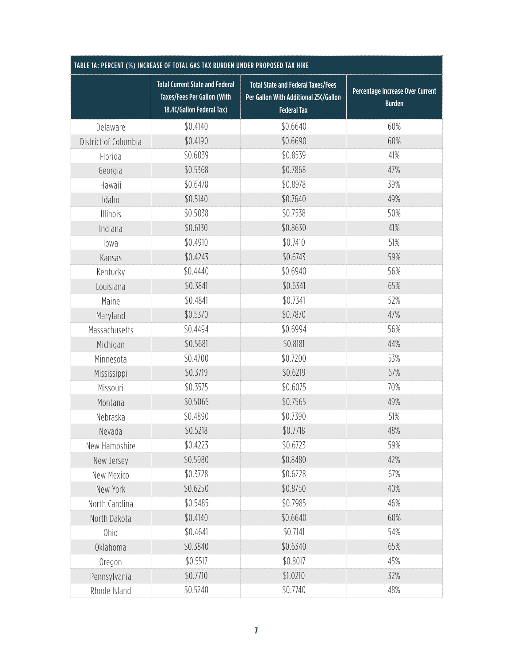| TABLE 1A: PERCENT (%) INCREASE OF TOTAL GAS TAX BURDEN UNDER PROPOSED TAX HIKE |                                                                                                    |                                                                                                          |                                                   |
|--------------------------------------------------------------------------------|----------------------------------------------------------------------------------------------------|----------------------------------------------------------------------------------------------------------|---------------------------------------------------|
|                                                                                | <b>Total Current State and Federal</b><br>Taxes/Fees Per Gallon (With<br>18.4¢/Gallon Federal Tax) | <b>Total State and Federal Taxes/Fees</b><br>Per Gallon With Additional 25¢/Gallon<br><b>Federal Tax</b> | Percentage Increase Over Current<br><b>Burden</b> |
| Delaware                                                                       | \$0.4140                                                                                           | \$0.6640                                                                                                 | 60%                                               |
| District of Columbia                                                           | \$0.4190                                                                                           | \$0.6690                                                                                                 | 60%                                               |
| Florida                                                                        | \$0.6039                                                                                           | \$0.8539                                                                                                 | 41%                                               |
| Georgia                                                                        | \$0.5368                                                                                           | \$0.7868                                                                                                 | 47%                                               |
| Hawaii                                                                         | \$0.6478                                                                                           | \$0.8978                                                                                                 | 39%                                               |
| Idaho                                                                          | \$0.5140                                                                                           | \$0.7640                                                                                                 | 49%                                               |
| Illinois                                                                       | \$0.5038                                                                                           | \$0.7538                                                                                                 | 50%                                               |
| Indiana                                                                        | \$0.6130                                                                                           | \$0.8630                                                                                                 | 41%                                               |
| lowa                                                                           | \$0.4910                                                                                           | \$0.7410                                                                                                 | 51%                                               |
| Kansas                                                                         | \$0.4243                                                                                           | \$0.6743                                                                                                 | 59%                                               |
| Kentucky                                                                       | \$0.4440                                                                                           | \$0.6940                                                                                                 | 56%                                               |
| Louisiana                                                                      | \$0.3841                                                                                           | \$0.6341                                                                                                 | 65%                                               |
| Maine                                                                          | \$0.4841                                                                                           | \$0.7341                                                                                                 | 52%                                               |
| Maryland                                                                       | \$0.5370                                                                                           | \$0.7870                                                                                                 | 47%                                               |
| Massachusetts                                                                  | \$0.4494                                                                                           | \$0.6994                                                                                                 | 56%                                               |
| Michigan                                                                       | \$0.5681                                                                                           | \$0.8181                                                                                                 | 44%                                               |
| Minnesota                                                                      | \$0.4700                                                                                           | \$0.7200                                                                                                 | 53%                                               |
| Mississippi                                                                    | \$0.3719                                                                                           | \$0.6219                                                                                                 | 67%                                               |
| Missouri                                                                       | \$0.3575                                                                                           | \$0.6075                                                                                                 | 70%                                               |
| Montana                                                                        | \$0.5065                                                                                           | \$0.7565                                                                                                 | 49%                                               |
| Nebraska                                                                       | \$0.4890                                                                                           | \$0.7390                                                                                                 | 51%                                               |
| Nevada                                                                         | \$0.5218                                                                                           | \$0.7718                                                                                                 | 48%                                               |
| New Hampshire                                                                  | \$0.4223                                                                                           | \$0.6723                                                                                                 | 59%                                               |
| New Jersey                                                                     | \$0.5980                                                                                           | \$0.8480                                                                                                 | 42%                                               |
| New Mexico                                                                     | \$0.3728                                                                                           | \$0.6228                                                                                                 | 67%                                               |
| New York                                                                       | \$0.6250                                                                                           | \$0.8750                                                                                                 | 40%                                               |
| North Carolina                                                                 | \$0.5485                                                                                           | \$0.7985                                                                                                 | 46%                                               |
| North Dakota                                                                   | \$0.4140                                                                                           | \$0.6640                                                                                                 | 60%                                               |
| Ohio                                                                           | \$0.4641                                                                                           | \$0.7141                                                                                                 | 54%                                               |
| <b>Oklahoma</b>                                                                | \$0.3840                                                                                           | \$0.6340                                                                                                 | 65%                                               |
| Oregon                                                                         | \$0.5517                                                                                           | \$0.8017                                                                                                 | 45%                                               |
| Pennsylvania                                                                   | \$0.7710                                                                                           | \$1.0210                                                                                                 | 32%                                               |
| Rhode Island                                                                   | \$0.5240                                                                                           | \$0.7740                                                                                                 | 48%                                               |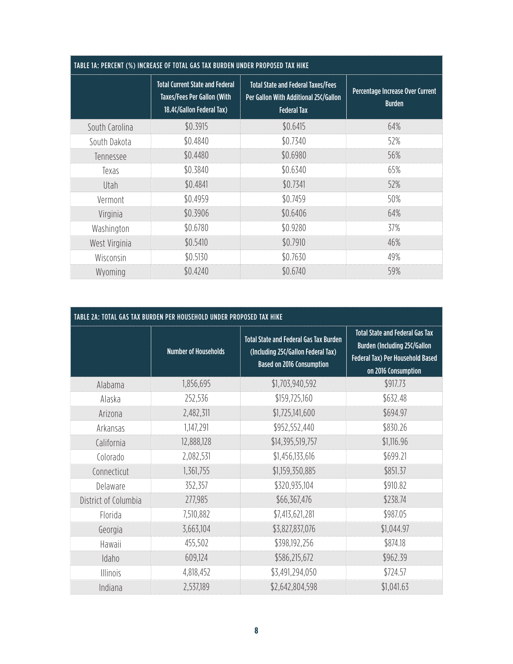| TABLE 1A: PERCENT (%) INCREASE OF TOTAL GAS TAX BURDEN UNDER PROPOSED TAX HIKE |                                                                                                           |                                                                                                          |                                                   |  |
|--------------------------------------------------------------------------------|-----------------------------------------------------------------------------------------------------------|----------------------------------------------------------------------------------------------------------|---------------------------------------------------|--|
|                                                                                | <b>Total Current State and Federal</b><br><b>Taxes/Fees Per Gallon (With</b><br>18.4¢/Gallon Federal Tax) | <b>Total State and Federal Taxes/Fees</b><br>Per Gallon With Additional 25¢/Gallon<br><b>Federal Tax</b> | Percentage Increase Over Current<br><b>Burden</b> |  |
| South Carolina                                                                 | \$0.3915                                                                                                  | \$0.6415                                                                                                 | 64%                                               |  |
| South Dakota                                                                   | \$0.4840                                                                                                  | \$0.7340                                                                                                 | 52%                                               |  |
| Tennessee                                                                      | \$0.4480                                                                                                  | \$0.6980                                                                                                 | 56%                                               |  |
| Texas                                                                          | \$0.3840                                                                                                  | \$0.6340                                                                                                 | 65%                                               |  |
| Utah                                                                           | \$0.4841                                                                                                  | \$0.7341                                                                                                 | 52%                                               |  |
| Vermont                                                                        | \$0.4959                                                                                                  | \$0.7459                                                                                                 | 50%                                               |  |
| Virginia                                                                       | \$0.3906                                                                                                  | \$0.6406                                                                                                 | 64%                                               |  |
| Washington                                                                     | \$0.6780                                                                                                  | \$0.9280                                                                                                 | 37%                                               |  |
| West Virginia                                                                  | \$0.5410                                                                                                  | \$0.7910                                                                                                 | 46%                                               |  |
| Wisconsin                                                                      | \$0.5130                                                                                                  | \$0.7630                                                                                                 | 49%                                               |  |
| Wyoming                                                                        | \$0.4240                                                                                                  | \$0.6740                                                                                                 | 59%                                               |  |

| TABLE 2A: TOTAL GAS TAX BURDEN PER HOUSEHOLD UNDER PROPOSED TAX HIKE |                             |                                                                                                                  |                                                                                                                                          |
|----------------------------------------------------------------------|-----------------------------|------------------------------------------------------------------------------------------------------------------|------------------------------------------------------------------------------------------------------------------------------------------|
|                                                                      | <b>Number of Households</b> | <b>Total State and Federal Gas Tax Burden</b><br>(Including 25¢/Gallon Federal Tax)<br>Based on 2016 Consumption | <b>Total State and Federal Gas Tax</b><br><b>Burden (Including 25¢/Gallon</b><br>Federal Tax) Per Household Based<br>on 2016 Consumption |
| Alabama                                                              | 1,856,695                   | \$1,703,940,592                                                                                                  | \$917.73                                                                                                                                 |
| Alaska                                                               | 252,536                     | \$159,725,160                                                                                                    | \$632.48                                                                                                                                 |
| Arizona                                                              | 2,482,311                   | \$1,725,141,600                                                                                                  | \$694.97                                                                                                                                 |
| Arkansas                                                             | 1,147,291                   | \$952,552,440                                                                                                    | \$830.26                                                                                                                                 |
| California                                                           | 12,888,128                  | \$14,395,519,757                                                                                                 | \$1,116.96                                                                                                                               |
| Colorado                                                             | 2,082,531                   | \$1,456,133,616                                                                                                  | \$699.21                                                                                                                                 |
| Connecticut                                                          | 1,361,755                   | \$1,159,350,885                                                                                                  | \$851.37                                                                                                                                 |
| Delaware                                                             | 352,357                     | \$320,935,104                                                                                                    | \$910.82                                                                                                                                 |
| District of Columbia                                                 | 277,985                     | \$66,367,476                                                                                                     | \$238.74                                                                                                                                 |
| Florida                                                              | 7,510,882                   | \$7,413,621,281                                                                                                  | \$987.05                                                                                                                                 |
| Georgia                                                              | 3,663,104                   | \$3,827,837,076                                                                                                  | \$1,044.97                                                                                                                               |
| Hawaii                                                               | 455,502                     | \$398,192,256                                                                                                    | \$874.18                                                                                                                                 |
| Idaho                                                                | 609,124                     | \$586,215,672                                                                                                    | \$962.39                                                                                                                                 |
| <b>Illinois</b>                                                      | 4,818,452                   | \$3,491,294,050                                                                                                  | \$724.57                                                                                                                                 |
| Indiana                                                              | 2,537,189                   | \$2,642,804,598                                                                                                  | \$1,041.63                                                                                                                               |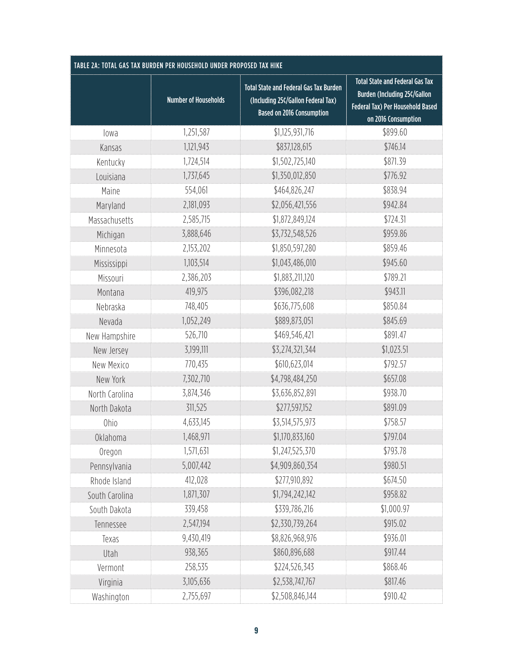| TABLE 2A: TOTAL GAS TAX BURDEN PER HOUSEHOLD UNDER PROPOSED TAX HIKE |                             |                                                                                                                         |                                                                                                                                                 |
|----------------------------------------------------------------------|-----------------------------|-------------------------------------------------------------------------------------------------------------------------|-------------------------------------------------------------------------------------------------------------------------------------------------|
|                                                                      | <b>Number of Households</b> | <b>Total State and Federal Gas Tax Burden</b><br>(Including 25¢/Gallon Federal Tax)<br><b>Based on 2016 Consumption</b> | <b>Total State and Federal Gas Tax</b><br><b>Burden (Including 25¢/Gallon</b><br><b>Federal Tax) Per Household Based</b><br>on 2016 Consumption |
| lowa                                                                 | 1,251,587                   | \$1,125,931,716                                                                                                         | \$899.60                                                                                                                                        |
| Kansas                                                               | 1,121,943                   | \$837,128,615                                                                                                           | \$746.14                                                                                                                                        |
| Kentucky                                                             | 1,724,514                   | \$1,502,725,140                                                                                                         | \$871.39                                                                                                                                        |
| Louisiana                                                            | 1,737,645                   | \$1,350,012,850                                                                                                         | \$776.92                                                                                                                                        |
| Maine                                                                | 554,061                     | \$464,826,247                                                                                                           | \$838.94                                                                                                                                        |
| Maryland                                                             | 2,181,093                   | \$2,056,421,556                                                                                                         | \$942.84                                                                                                                                        |
| Massachusetts                                                        | 2,585,715                   | \$1,872,849,124                                                                                                         | \$724.31                                                                                                                                        |
| Michigan                                                             | 3,888,646                   | \$3,732,548,526                                                                                                         | \$959.86                                                                                                                                        |
| Minnesota                                                            | 2,153,202                   | \$1,850,597,280                                                                                                         | \$859.46                                                                                                                                        |
| Mississippi                                                          | 1,103,514                   | \$1,043,486,010                                                                                                         | \$945.60                                                                                                                                        |
| Missouri                                                             | 2,386,203                   | \$1,883,211,120                                                                                                         | \$789.21                                                                                                                                        |
| Montana                                                              | 419,975                     | \$396,082,218                                                                                                           | \$943.11                                                                                                                                        |
| Nebraska                                                             | 748,405                     | \$636,775,608                                                                                                           | \$850.84                                                                                                                                        |
| Nevada                                                               | 1,052,249                   | \$889,873,051                                                                                                           | \$845.69                                                                                                                                        |
| New Hampshire                                                        | 526,710                     | \$469,546,421                                                                                                           | \$891.47                                                                                                                                        |
| New Jersey                                                           | 3,199,111                   | \$3,274,321,344                                                                                                         | \$1,023.51                                                                                                                                      |
| New Mexico                                                           | 770,435                     | \$610,623,014                                                                                                           | \$792.57                                                                                                                                        |
| New York                                                             | 7,302,710                   | \$4,798,484,250                                                                                                         | \$657.08                                                                                                                                        |
| North Carolina                                                       | 3,874,346                   | \$3,636,852,891                                                                                                         | \$938.70                                                                                                                                        |
| North Dakota                                                         | 311,525                     | \$277,597,152                                                                                                           | \$891.09                                                                                                                                        |
| <b>Ohio</b>                                                          | 4,633,145                   | \$3,514,575,973                                                                                                         | \$758.57                                                                                                                                        |
| <b>Oklahoma</b>                                                      | 1,468,971                   | \$1,170,833,160                                                                                                         | \$797.04                                                                                                                                        |
| Oregon                                                               | 1,571,631                   | \$1,247,525,370                                                                                                         | \$793.78                                                                                                                                        |
| Pennsylvania                                                         | 5,007,442                   | \$4,909,860,354                                                                                                         | \$980.51                                                                                                                                        |
| Rhode Island                                                         | 412,028                     | \$277,910,892                                                                                                           | \$674.50                                                                                                                                        |
| South Carolina                                                       | 1,871,307                   | \$1,794,242,142                                                                                                         | \$958.82                                                                                                                                        |
| South Dakota                                                         | 339,458                     | \$339,786,216                                                                                                           | \$1,000.97                                                                                                                                      |
| Tennessee                                                            | 2,547,194                   | \$2,330,739,264                                                                                                         | \$915.02                                                                                                                                        |
| Texas                                                                | 9,430,419                   | \$8,826,968,976                                                                                                         | \$936.01                                                                                                                                        |
| Utah                                                                 | 938,365                     | \$860,896,688                                                                                                           | \$917.44                                                                                                                                        |
| Vermont                                                              | 258,535                     | \$224,526,343                                                                                                           | \$868.46                                                                                                                                        |
| Virginia                                                             | 3,105,636                   | \$2,538,747,767                                                                                                         | \$817.46                                                                                                                                        |
| Washington                                                           | 2,755,697                   | \$2,508,846,144                                                                                                         | \$910.42                                                                                                                                        |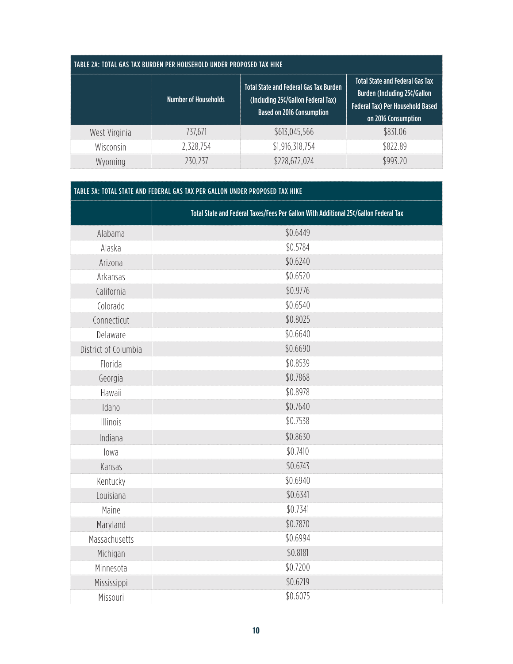| TABLE 2A: TOTAL GAS TAX BURDEN PER HOUSEHOLD UNDER PROPOSED TAX HIKE |                             |                                                                                                                         |                                                                                                                                                 |  |
|----------------------------------------------------------------------|-----------------------------|-------------------------------------------------------------------------------------------------------------------------|-------------------------------------------------------------------------------------------------------------------------------------------------|--|
|                                                                      | <b>Number of Households</b> | <b>Total State and Federal Gas Tax Burden</b><br>(Including 25¢/Gallon Federal Tax)<br><b>Based on 2016 Consumption</b> | <b>Total State and Federal Gas Tax</b><br><b>Burden (Including 25¢/Gallon</b><br><b>Federal Tax) Per Household Based</b><br>on 2016 Consumption |  |
| West Virginia                                                        | 737.671                     | \$613,045,566                                                                                                           | \$831.06                                                                                                                                        |  |
| Wisconsin                                                            | 2,328,754                   | \$1,916,318,754                                                                                                         | \$822.89                                                                                                                                        |  |
| Wyoming                                                              | 230,237                     | \$228,672,024                                                                                                           | \$993.20                                                                                                                                        |  |

| TABLE 3A: TOTAL STATE AND FEDERAL GAS TAX PER GALLON UNDER PROPOSED TAX HIKE |                                                                                      |  |
|------------------------------------------------------------------------------|--------------------------------------------------------------------------------------|--|
|                                                                              | Total State and Federal Taxes/Fees Per Gallon With Additional 25¢/Gallon Federal Tax |  |
| Alabama                                                                      | \$0.6449                                                                             |  |
| Alaska                                                                       | \$0.5784                                                                             |  |
| Arizona                                                                      | \$0.6240                                                                             |  |
| Arkansas                                                                     | \$0.6520                                                                             |  |
| California                                                                   | \$0.9776                                                                             |  |
| Colorado                                                                     | \$0.6540                                                                             |  |
| Connecticut                                                                  | \$0.8025                                                                             |  |
| Delaware                                                                     | \$0.6640                                                                             |  |
| District of Columbia                                                         | \$0.6690                                                                             |  |
| Florida                                                                      | \$0.8539                                                                             |  |
| Georgia                                                                      | \$0.7868                                                                             |  |
| Hawaii                                                                       | \$0.8978                                                                             |  |
| Idaho                                                                        | \$0.7640                                                                             |  |
| Illinois                                                                     | \$0.7538                                                                             |  |
| Indiana                                                                      | \$0.8630                                                                             |  |
| lowa                                                                         | \$0.7410                                                                             |  |
| Kansas                                                                       | \$0.6743                                                                             |  |
| Kentucky                                                                     | \$0.6940                                                                             |  |
| Louisiana                                                                    | \$0.6341                                                                             |  |
| Maine                                                                        | \$0.7341                                                                             |  |
| Maryland                                                                     | \$0.7870                                                                             |  |
| Massachusetts                                                                | \$0.6994                                                                             |  |
| Michigan                                                                     | \$0.8181                                                                             |  |
| Minnesota                                                                    | \$0.7200                                                                             |  |
| Mississippi                                                                  | \$0.6219                                                                             |  |
| Missouri                                                                     | \$0.6075                                                                             |  |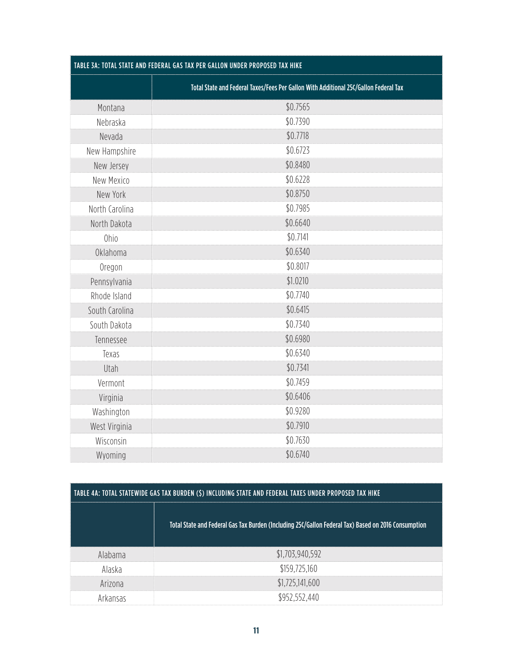| TABLE 3A: TOTAL STATE AND FEDERAL GAS TAX PER GALLON UNDER PROPOSED TAX HIKE |                                                                                      |  |
|------------------------------------------------------------------------------|--------------------------------------------------------------------------------------|--|
|                                                                              | Total State and Federal Taxes/Fees Per Gallon With Additional 25¢/Gallon Federal Tax |  |
| Montana                                                                      | \$0.7565                                                                             |  |
| Nebraska                                                                     | \$0.7390                                                                             |  |
| Nevada                                                                       | \$0.7718                                                                             |  |
| New Hampshire                                                                | \$0.6723                                                                             |  |
| New Jersey                                                                   | \$0.8480                                                                             |  |
| New Mexico                                                                   | \$0.6228                                                                             |  |
| New York                                                                     | \$0.8750                                                                             |  |
| North Carolina                                                               | \$0.7985                                                                             |  |
| North Dakota                                                                 | \$0.6640                                                                             |  |
| <b>Ohio</b>                                                                  | \$0.7141                                                                             |  |
| <b>Oklahoma</b>                                                              | \$0.6340                                                                             |  |
| Oregon                                                                       | \$0.8017                                                                             |  |
| Pennsylvania                                                                 | \$1.0210                                                                             |  |
| Rhode Island                                                                 | \$0.7740                                                                             |  |
| South Carolina                                                               | \$0.6415                                                                             |  |
| South Dakota                                                                 | \$0.7340                                                                             |  |
| Tennessee                                                                    | \$0.6980                                                                             |  |
| Texas                                                                        | \$0.6340                                                                             |  |
| Utah                                                                         | \$0.7341                                                                             |  |
| Vermont                                                                      | \$0.7459                                                                             |  |
| Virginia                                                                     | \$0.6406                                                                             |  |
| Washington                                                                   | \$0.9280                                                                             |  |
| West Virginia                                                                | \$0.7910                                                                             |  |
| Wisconsin                                                                    | \$0.7630                                                                             |  |
| Wyoming                                                                      | \$0.6740                                                                             |  |

| TABLE 4A: TOTAL STATEWIDE GAS TAX BURDEN (\$) INCLUDING STATE AND FEDERAL TAXES UNDER PROPOSED TAX HIKE |                                                                                                     |  |
|---------------------------------------------------------------------------------------------------------|-----------------------------------------------------------------------------------------------------|--|
|                                                                                                         | Total State and Federal Gas Tax Burden (Including 25¢/Gallon Federal Tax) Based on 2016 Consumption |  |
| Alabama                                                                                                 | \$1,703,940,592                                                                                     |  |
| Alaska                                                                                                  | \$159,725,160                                                                                       |  |
| Arizona                                                                                                 | \$1,725,141,600                                                                                     |  |
| Arkansas                                                                                                | \$952,552,440                                                                                       |  |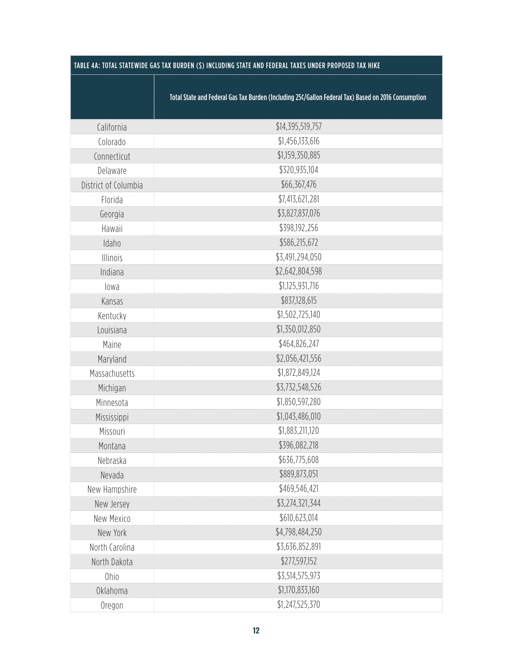| TABLE 4A: TOTAL STATEWIDE GAS TAX BURDEN (\$) INCLUDING STATE AND FEDERAL TAXES UNDER PROPOSED TAX HIKE |                                                                                                     |  |
|---------------------------------------------------------------------------------------------------------|-----------------------------------------------------------------------------------------------------|--|
|                                                                                                         | Total State and Federal Gas Tax Burden (Including 25¢/Gallon Federal Tax) Based on 2016 Consumption |  |
| California                                                                                              | \$14,395,519,757                                                                                    |  |
| Colorado                                                                                                | \$1,456,133,616                                                                                     |  |
| Connecticut                                                                                             | \$1,159,350,885                                                                                     |  |
| Delaware                                                                                                | \$320,935,104                                                                                       |  |
| District of Columbia                                                                                    | \$66,367,476                                                                                        |  |
| Florida                                                                                                 | \$7,413,621,281                                                                                     |  |
| Georgia                                                                                                 | \$3,827,837,076                                                                                     |  |
| Hawaii                                                                                                  | \$398,192,256                                                                                       |  |
| Idaho                                                                                                   | \$586,215,672                                                                                       |  |
| Illinois                                                                                                | \$3,491,294,050                                                                                     |  |
| Indiana                                                                                                 | \$2,642,804,598                                                                                     |  |
| lowa                                                                                                    | \$1,125,931,716                                                                                     |  |
| Kansas                                                                                                  | \$837,128,615                                                                                       |  |
| Kentucky                                                                                                | \$1,502,725,140                                                                                     |  |
| Louisiana                                                                                               | \$1,350,012,850                                                                                     |  |
| Maine                                                                                                   | \$464,826,247                                                                                       |  |
| Maryland                                                                                                | \$2,056,421,556                                                                                     |  |
| Massachusetts                                                                                           | \$1,872,849,124                                                                                     |  |
| Michigan                                                                                                | \$3,732,548,526                                                                                     |  |
| Minnesota                                                                                               | \$1,850,597,280                                                                                     |  |
| Mississippi                                                                                             | \$1,043,486,010                                                                                     |  |
| Missouri                                                                                                | \$1,883,211,120                                                                                     |  |
| Montana                                                                                                 | \$396,082,218                                                                                       |  |
| Nebraska                                                                                                | \$636,775,608                                                                                       |  |
| Nevada                                                                                                  | \$889,873,051                                                                                       |  |
| New Hampshire                                                                                           | \$469,546,421                                                                                       |  |
| New Jersey                                                                                              | \$3,274,321,344                                                                                     |  |
| New Mexico                                                                                              | \$610,623,014                                                                                       |  |
| New York                                                                                                | \$4,798,484,250                                                                                     |  |
| North Carolina                                                                                          | \$3,636,852,891                                                                                     |  |
| North Dakota                                                                                            | \$277,597,152                                                                                       |  |
| Ohio                                                                                                    | \$3,514,575,973                                                                                     |  |
| <b>Oklahoma</b>                                                                                         | \$1,170,833,160                                                                                     |  |
| Oregon                                                                                                  | \$1,247,525,370                                                                                     |  |